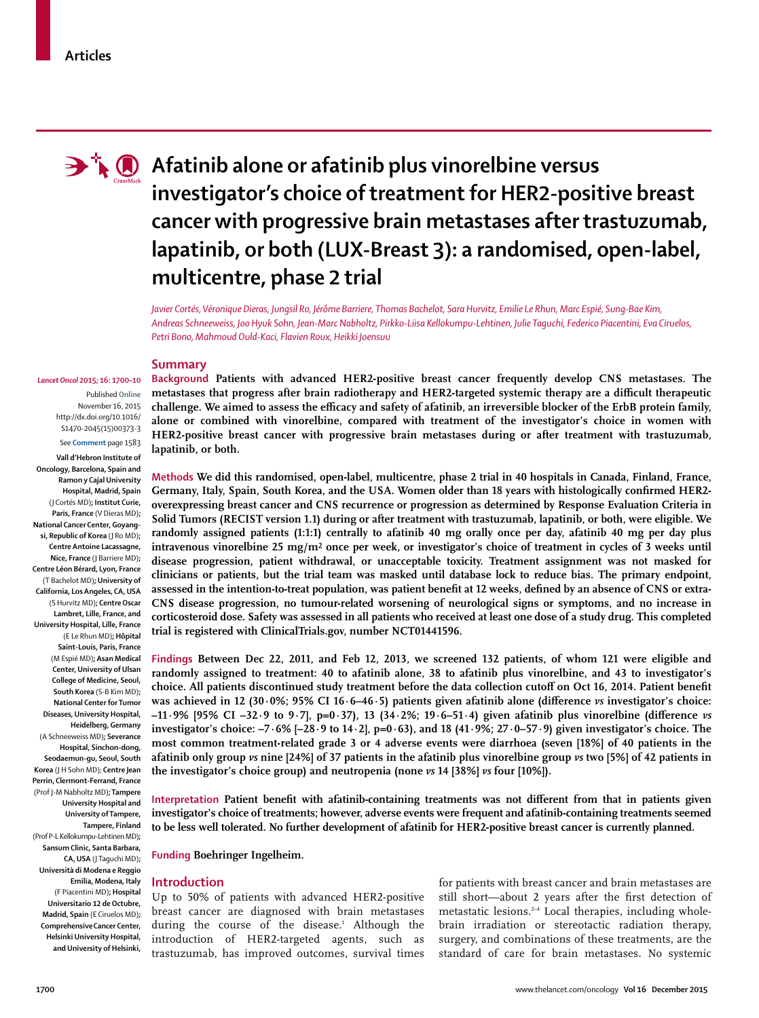

# **A**  $\bullet$  Afatinib alone or afatinib plus vinorelbine versus **investigator's choice of treatment for HER2-positive breast cancer with progressive brain metastases after trastuzumab, lapatinib, or both (LUX-Breast 3): a randomised, open-label, multicentre, phase 2 trial**

*Javier Cortés, Véronique Dieras, Jungsil Ro, Jérôme Barriere, Thomas Bachelot, Sara Hurvitz, Emilie Le Rhun, Marc Espié, Sung-Bae Kim, Andreas Schneeweiss, Joo Hyuk Sohn, Jean-Marc Nabholtz, Pirkko-Liisa Kellokumpu-Lehtinen, Julie Taguchi, Federico Piacentini, Eva Ciruelos, Petri Bono, Mahmoud Ould-Kaci, Flavien Roux, Heikki Joensuu*

#### **Summary**

*Lancet Oncol* **2015; 16: 1700–10** Published **Online** November 16, 2015 http://dx.doi.org/10.1016/ S1470-2045(15)00373-3

See **Comment** page 1583

**Vall d'Hebron Institute of Oncology, Barcelona, Spain and Ramon y Cajal University Hospital, Madrid, Spain** (J Cortés MD)**; Institut Curie, Paris, France** (V Dieras MD)**; National Cancer Center, Goyangsi, Republic of Korea** (J Ro MD)**; Centre Antoine Lacassagne, Nice, France** (J Barriere MD)**; Centre Léon Bérard, Lyon, France**  (T Bachelot MD)**; University of California, Los Angeles, CA, USA** (S Hurvitz MD)**; Centre Oscar Lambret, Lille, France, and University Hospital, Lille, France**  (E Le Rhun MD)**; Hôpital Saint-Louis, Paris, France**  (M Espié MD)**; Asan Medical Center, University of Ulsan College of Medicine, Seoul, South Korea** (S-B Kim MD)**; National Center for Tumor Diseases, University Hospital, Heidelberg, Germany**  (A Schneeweiss MD)**; Severance Hospital, Sinchon-dong, Seodaemun-gu, Seoul, South Korea** (J H Sohn MD); **Centre Jean Perrin, Clermont-Ferrand, France**  (Prof J-M Nabholtz MD)**; Tampere University Hospital and University of Tampere, Tampere, Finland**  (Prof P-L Kellokumpu-Lehtinen MD)**; Sansum Clinic, Santa Barbara, CA, USA** (J Taguchi MD)**; Università di Modena e Reggio Emilia, Modena, Italy**  (F Piacentini MD)**; Hospital Universitario 12 de Octubre, Madrid, Spain** (E Ciruelos MD)**; ComprehensiveCancer Center, Helsinki University Hospital, and University of Helsinki,**

**Background Patients with advanced HER2-positive breast cancer frequently develop CNS metastases. The**  metastases that progress after brain radiotherapy and HER2-targeted systemic therapy are a difficult therapeutic challenge. We aimed to assess the efficacy and safety of afatinib, an irreversible blocker of the ErbB protein family, **alone or combined with vinorelbine, compared with treatment of the investigator's choice in women with HER2-positive breast cancer with progressive brain metastases during or after treatment with trastuzumab, lapatinib, or both.**

**Methods We did this randomised, open-label, multicentre, phase 2 trial in 40 hospitals in Canada, Finland, France,**  Germany, Italy, Spain, South Korea, and the USA. Women older than 18 years with histologically confirmed HER2**overexpressing breast cancer and CNS recurrence or progression as determined by Response Evaluation Criteria in Solid Tumors (RECIST version 1.1) during or after treatment with trastuzumab, lapatinib, or both, were eligible. We randomly assigned patients (1:1:1) centrally to afatinib 40 mg orally once per day, afatinib 40 mg per day plus intravenous vinorelbine 25 mg/m**² **once per week, or investigator's choice of treatment in cycles of 3 weeks until disease progression, patient withdrawal, or unacceptable toxicity. Treatment assignment was not masked for clinicians or patients, but the trial team was masked until database lock to reduce bias. The primary endpoint,**  assessed in the intention-to-treat population, was patient benefit at 12 weeks, defined by an absence of CNS or extra-**CNS disease progression, no tumour-related worsening of neurological signs or symptoms, and no increase in corticosteroid dose. Safety was assessed in all patients who received at least one dose of a study drug. This completed trial is registered with ClinicalTrials.gov, number NCT01441596.**

**Findings Between Dec 22, 2011, and Feb 12, 2013, we screened 132 patients, of whom 121 were eligible and randomly assigned to treatment: 40 to afatinib alone, 38 to afatinib plus vinorelbine, and 43 to investigator's** choice. All patients discontinued study treatment before the data collection cutoff on Oct 16, 2014. Patient benefit **was achieved in 12 (30·0%; 95% CI 16·6–46·5) patients given afatinib alone (difference** *vs* **investigator's choice:**  $-11.9\%$  [95% CI  $-32.9$  to 9.7],  $p=0.37$ , 13 (34.2%; 19.6–51.4) given afatinib plus vinorelbine (difference *vs* **investigator's choice: –7·6% [–28·9 to 14·2], p=0·63), and 18 (41·9%; 27·0–57·9) given investigator's choice. The most common treatment-related grade 3 or 4 adverse events were diarrhoea (seven [18%] of 40 patients in the afatinib only group** *vs* **nine [24%] of 37 patients in the afatinib plus vinorelbine group** *vs* **two [5%] of 42 patients in the investigator's choice group) and neutropenia (none** *vs* **14 [38%]** *vs* **four [10%]).**

Interpretation Patient benefit with afatinib-containing treatments was not different from that in patients given **investigator's choice of treatments; however, adverse events were frequent and afatinib-containing treatments seemed to be less well tolerated. No further development of afatinib for HER2-positive breast cancer is currently planned.**

**Funding Boehringer Ingelheim.**

## **Introduction**

Up to 50% of patients with advanced HER2-positive breast cancer are diagnosed with brain metastases during the course of the disease.<sup>1</sup> Although the introduction of HER2-targeted agents, such as trastuzumab, has improved outcomes, survival times

for patients with breast cancer and brain metastases are still short-about 2 years after the first detection of metastatic lesions.2–4 Local therapies, including wholebrain irradiation or stereotactic radiation therapy, surgery, and combinations of these treatments, are the standard of care for brain metastases. No systemic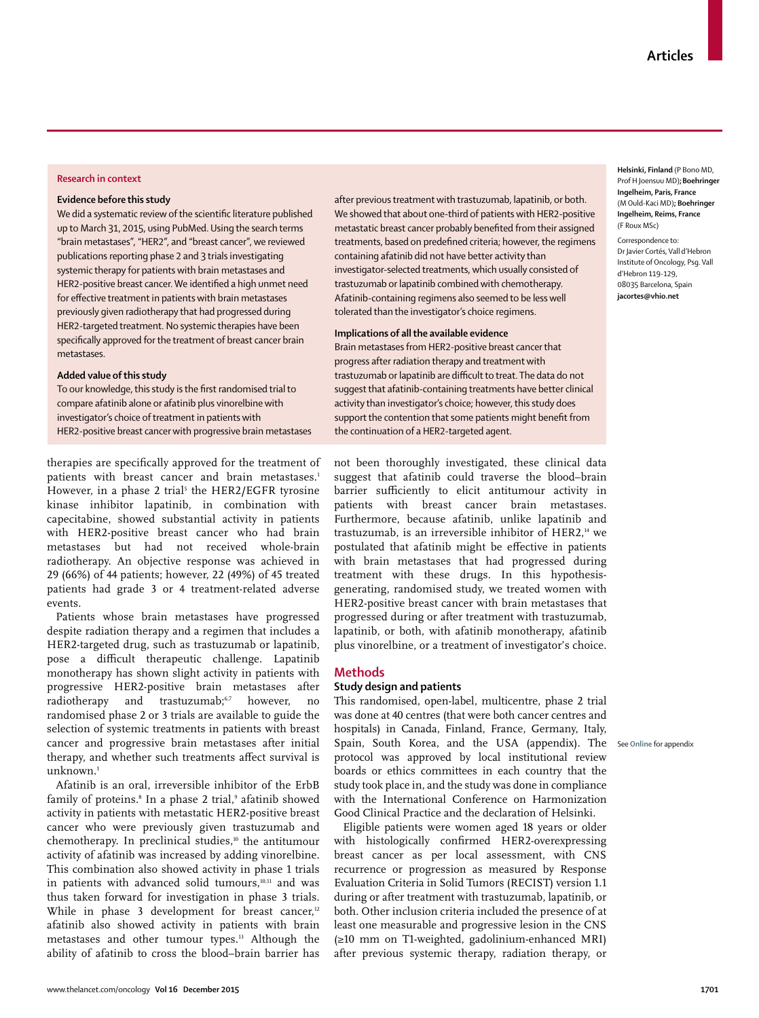#### **Research in context**

#### **Evidence before this study**

We did a systematic review of the scientific literature published up to March 31, 2015, using PubMed. Using the search terms "brain metastases", "HER2", and "breast cancer", we reviewed publications reporting phase 2 and 3 trials investigating systemic therapy for patients with brain metastases and HER2-positive breast cancer. We identified a high unmet need for effective treatment in patients with brain metastases previously given radiotherapy that had progressed during HER2-targeted treatment. No systemic therapies have been specifically approved for the treatment of breast cancer brain metastases.

#### **Added value of this study**

To our knowledge, this study is the first randomised trial to compare afatinib alone or afatinib plus vinorelbine with investigator's choice of treatment in patients with HER2-positive breast cancer with progressive brain metastases

therapies are specifically approved for the treatment of patients with breast cancer and brain metastases.<sup>1</sup> However, in a phase 2 trial<sup>5</sup> the HER2/EGFR tyrosine kinase inhibitor lapatinib, in combination with capecitabine, showed substantial activity in patients with HER2-positive breast cancer who had brain metastases but had not received whole-brain radiotherapy. An objective response was achieved in 29 (66%) of 44 patients; however, 22 (49%) of 45 treated patients had grade 3 or 4 treatment-related adverse events.

Patients whose brain metastases have progressed despite radiation therapy and a regimen that includes a HER2-targeted drug, such as trastuzumab or lapatinib, pose a difficult therapeutic challenge. Lapatinib monotherapy has shown slight activity in patients with progressive HER2-positive brain metastases after radiotherapy and trastuzumab;<sup>6,7</sup> however, no randomised phase 2 or 3 trials are available to guide the selection of systemic treatments in patients with breast cancer and progressive brain metastases after initial therapy, and whether such treatments affect survival is unknown.<sup>1</sup>

Afatinib is an oral, irreversible inhibitor of the ErbB family of proteins.<sup>8</sup> In a phase 2 trial,<sup>9</sup> afatinib showed activity in patients with metastatic HER2-positive breast cancer who were previously given trastuzumab and chemotherapy. In preclinical studies, $10$  the antitumour activity of afatinib was increased by adding vinorelbine. This combination also showed activity in phase 1 trials in patients with advanced solid tumours, $10,11$  and was thus taken forward for investigation in phase 3 trials. While in phase 3 development for breast cancer, $12$ afatinib also showed activity in patients with brain metastases and other tumour types.13 Although the ability of afatinib to cross the blood–brain barrier has

after previous treatment with trastuzumab, lapatinib, or both. We showed that about one-third of patients with HER2-positive metastatic breast cancer probably benefited from their assigned treatments, based on predefined criteria; however, the regimens containing afatinib did not have better activity than investigator-selected treatments, which usually consisted of trastuzumab or lapatinib combined with chemotherapy. Afatinib-containing regimens also seemed to be less well tolerated than the investigator's choice regimens.

# **Implications of all the available evidence**

Brain metastases from HER2-positive breast cancer that progress after radiation therapy and treatment with trastuzumab or lapatinib are difficult to treat. The data do not suggest that afatinib-containing treatments have better clinical activity than investigator's choice; however, this study does support the contention that some patients might benefit from the continuation of a HER2-targeted agent.

not been thoroughly investigated, these clinical data suggest that afatinib could traverse the blood–brain barrier sufficiently to elicit antitumour activity in patients with breast cancer brain metastases. Furthermore, because afatinib, unlike lapatinib and trastuzumab, is an irreversible inhibitor of HER2,<sup>14</sup> we postulated that afatinib might be effective in patients with brain metastases that had progressed during treatment with these drugs. In this hypothesisgenerating, randomised study, we treated women with HER2-positive breast cancer with brain metastases that progressed during or after treatment with trastuzumab, lapatinib, or both, with afatinib monotherapy, afatinib plus vinorelbine, or a treatment of investigator's choice.

## **Methods**

## **Study design and patients**

This randomised, open-label, multicentre, phase 2 trial was done at 40 centres (that were both cancer centres and hospitals) in Canada, Finland, France, Germany, Italy, Spain, South Korea, and the USA (appendix). The See **Online** for appendixprotocol was approved by local institutional review boards or ethics committees in each country that the study took place in, and the study was done in compliance with the International Conference on Harmonization Good Clinical Practice and the declaration of Helsinki.

Eligible patients were women aged 18 years or older with histologically confirmed HER2-overexpressing breast cancer as per local assessment, with CNS recurrence or progression as measured by Response Evaluation Criteria in Solid Tumors (RECIST) version 1.1 during or after treatment with trastuzumab, lapatinib, or both. Other inclusion criteria included the presence of at least one measurable and progressive lesion in the CNS (≥10 mm on T1-weighted, gadolinium-enhanced MRI) after previous systemic therapy, radiation therapy, or

**Helsinki, Finland** (P Bono MD, Prof H Joensuu MD)**;Boehringer Ingelheim, Paris, France**  (M Ould-Kaci MD)**; Boehringer Ingelheim, Reims, France**  (F Roux MSc)

Correspondence to: Dr Javier Cortés, Vall d'Hebron Institute of Oncology, Psg. Vall d'Hebron 119-129, 08035 Barcelona, Spain **jacortes@vhio.net**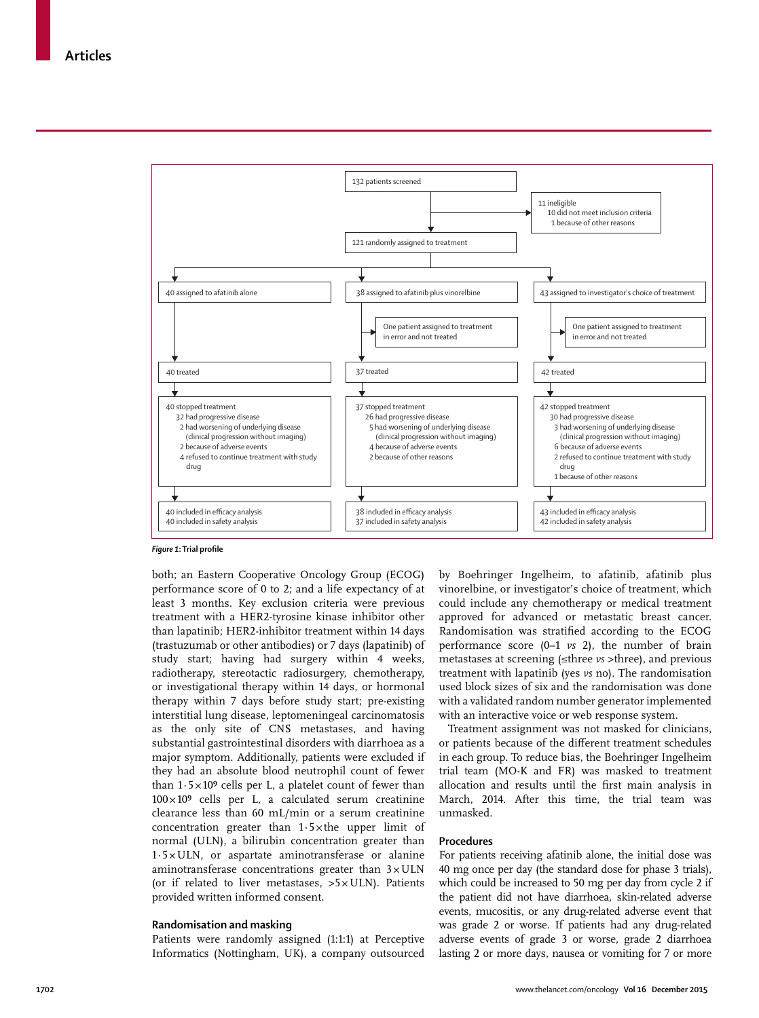

*Figure 1***: Trial profi le**

both; an Eastern Cooperative Oncology Group (ECOG) performance score of 0 to 2; and a life expectancy of at least 3 months. Key exclusion criteria were previous treatment with a HER2-tyrosine kinase inhibitor other than lapatinib; HER2-inhibitor treatment within 14 days (trastuzumab or other antibodies) or 7 days (lapatinib) of study start; having had surgery within 4 weeks, radiotherapy, stereotactic radiosurgery, chemotherapy, or investigational therapy within 14 days, or hormonal therapy within 7 days before study start; pre-existing interstitial lung disease, leptomeningeal carcinomatosis as the only site of CNS metastases, and having substantial gastrointestinal disorders with diarrhoea as a major symptom. Additionally, patients were excluded if they had an absolute blood neutrophil count of fewer than  $1.5 \times 10^9$  cells per L, a platelet count of fewer than  $100 \times 10^9$  cells per L, a calculated serum creatinine clearance less than 60 mL/min or a serum creatinine concentration greater than  $1.5 \times$  the upper limit of normal (ULN), a bilirubin concentration greater than  $1.5 \times ULN$ , or aspartate aminotransferase or alanine aminotransferase concentrations greater than  $3 \times ULN$ (or if related to liver metastases,  $>5 \times ULN$ ). Patients provided written informed consent.

#### **Randomisation and masking**

Patients were randomly assigned (1:1:1) at Perceptive Informatics (Nottingham, UK), a company outsourced by Boehringer Ingelheim, to afatinib, afatinib plus vinorelbine, or investigator's choice of treatment, which could include any chemotherapy or medical treatment approved for advanced or metastatic breast cancer. Randomisation was stratified according to the ECOG performance score (0–1 *vs* 2), the number of brain metastases at screening (≤three *vs* >three), and previous treatment with lapatinib (yes *vs* no). The randomisation used block sizes of six and the randomisation was done with a validated random number generator implemented with an interactive voice or web response system.

Treatment assignment was not masked for clinicians, or patients because of the different treatment schedules in each group. To reduce bias, the Boehringer Ingelheim trial team (MO-K and FR) was masked to treatment allocation and results until the first main analysis in March, 2014. After this time, the trial team was unmasked.

## **Procedures**

For patients receiving afatinib alone, the initial dose was 40 mg once per day (the standard dose for phase 3 trials), which could be increased to 50 mg per day from cycle 2 if the patient did not have diarrhoea, skin-related adverse events, mucositis, or any drug-related adverse event that was grade 2 or worse. If patients had any drug-related adverse events of grade 3 or worse, grade 2 diarrhoea lasting 2 or more days, nausea or vomiting for 7 or more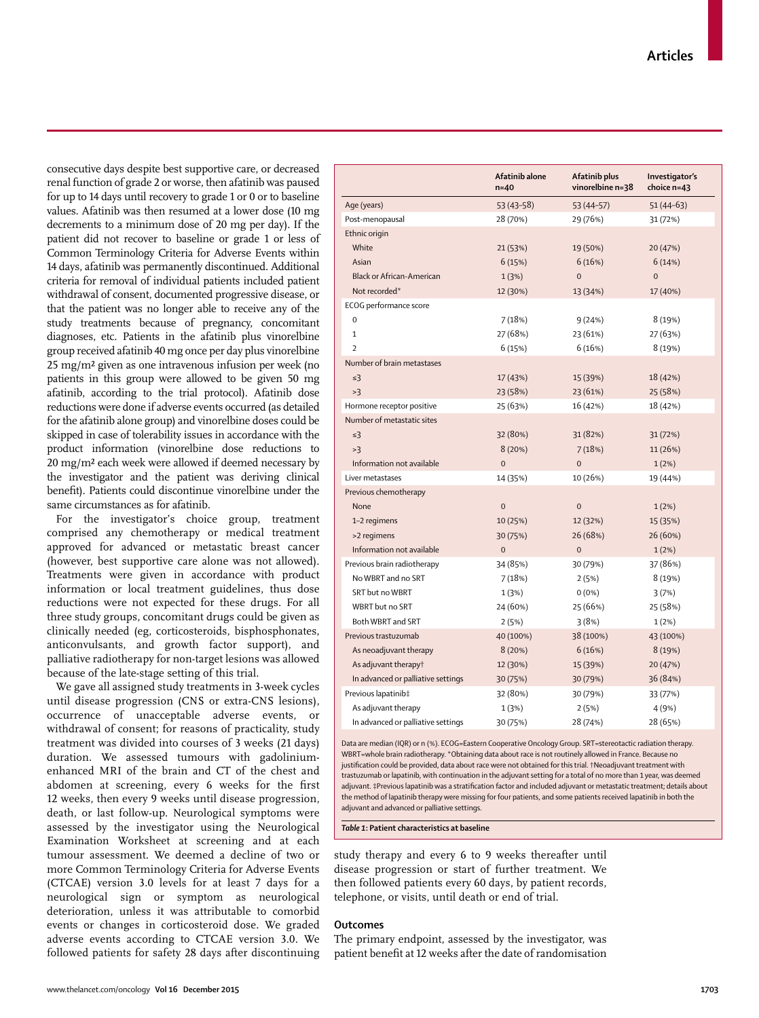consecutive days despite best supportive care, or decreased renal function of grade 2 or worse, then afatinib was paused for up to 14 days until recovery to grade 1 or 0 or to baseline values. Afatinib was then resumed at a lower dose (10 mg decrements to a minimum dose of 20 mg per day). If the patient did not recover to baseline or grade 1 or less of Common Terminology Criteria for Adverse Events within 14 days, afatinib was permanently discontinued. Additional criteria for removal of individual patients included patient withdrawal of consent, documented progressive disease, or that the patient was no longer able to receive any of the study treatments because of pregnancy, concomitant diagnoses, etc. Patients in the afatinib plus vinorelbine group received afatinib 40 mg once per day plus vinorelbine 25 mg/m² given as one intravenous infusion per week (no patients in this group were allowed to be given 50 mg afatinib, according to the trial protocol). Afatinib dose reductions were done if adverse events occurred (as detailed for the afatinib alone group) and vinorelbine doses could be skipped in case of tolerability issues in accordance with the product information (vinorelbine dose reductions to 20 mg/m² each week were allowed if deemed necessary by the investigator and the patient was deriving clinical benefit). Patients could discontinue vinorelbine under the same circumstances as for afatinib.

For the investigator's choice group, treatment comprised any chemotherapy or medical treatment approved for advanced or metastatic breast cancer (however, best supportive care alone was not allowed). Treatments were given in accordance with product information or local treatment guidelines, thus dose reductions were not expected for these drugs. For all three study groups, concomitant drugs could be given as clinically needed (eg, corticosteroids, bisphosphonates, anticonvulsants, and growth factor support), and palliative radiotherapy for non-target lesions was allowed because of the late-stage setting of this trial.

We gave all assigned study treatments in 3-week cycles until disease progression (CNS or extra-CNS lesions), occurrence of unacceptable adverse events, or withdrawal of consent; for reasons of practicality, study treatment was divided into courses of 3 weeks (21 days) duration. We assessed tumours with gadoliniumenhanced MRI of the brain and CT of the chest and abdomen at screening, every 6 weeks for the first 12 weeks, then every 9 weeks until disease progression, death, or last follow-up. Neurological symptoms were assessed by the investigator using the Neurological Examination Worksheet at screening and at each tumour assessment. We deemed a decline of two or more Common Terminology Criteria for Adverse Events (CTCAE) version 3.0 levels for at least 7 days for a neurological sign or symptom as neurological deterioration, unless it was attributable to comorbid events or changes in corticosteroid dose. We graded adverse events according to CTCAE version 3.0. We followed patients for safety 28 days after discontinuing

|                                    | Afatinib alone<br>$n=40$ | Afatinib plus<br>vinorelbine n=38 | Investigator's<br>choice n=43 |
|------------------------------------|--------------------------|-----------------------------------|-------------------------------|
| Age (years)                        | 53 (43–58)               | 53 (44 - 57)                      | 51 (44–63)                    |
| Post-menopausal                    | 28 (70%)                 | 29 (76%)                          | 31 (72%)                      |
| Ethnic origin                      |                          |                                   |                               |
| White                              | 21 (53%)                 | 19 (50%)                          | 20 (47%)                      |
| Asian                              | 6(15%)                   | 6(16%)                            | 6(14%)                        |
| <b>Black or African-American</b>   | 1(3%)                    | $\overline{0}$                    | $\overline{0}$                |
| Not recorded*                      | 12 (30%)                 | 13 (34%)                          | 17 (40%)                      |
| ECOG performance score             |                          |                                   |                               |
| 0                                  | 7(18%)                   | 9(24%)                            | 8 (19%)                       |
| 1                                  | 27 (68%)                 | 23 (61%)                          | 27 (63%)                      |
| $\overline{\phantom{a}}$           | 6(15%)                   | 6(16%)                            | 8 (19%)                       |
| Number of brain metastases         |                          |                                   |                               |
| $\leq$ 3                           | 17 (43%)                 | 15 (39%)                          | 18 (42%)                      |
| >3                                 | 23 (58%)                 | 23 (61%)                          | 25 (58%)                      |
| Hormone receptor positive          | 25 (63%)                 | 16 (42%)                          | 18 (42%)                      |
| Number of metastatic sites         |                          |                                   |                               |
| $\leq$ 3                           | 32 (80%)                 | 31 (82%)                          | 31 (72%)                      |
| >3                                 | 8(20%)                   | 7(18%)                            | 11 (26%)                      |
| Information not available          | $\overline{0}$           | $\overline{0}$                    | 1(2%)                         |
| Liver metastases                   | 14 (35%)                 | 10 (26%)                          | 19 (44%)                      |
| Previous chemotherapy              |                          |                                   |                               |
| None                               | $\mathbf 0$              | $\mathbf 0$                       | 1(2%)                         |
| 1-2 regimens                       | 10 (25%)                 | 12 (32%)                          | 15 (35%)                      |
| >2 regimens                        | 30 (75%)                 | 26 (68%)                          | 26 (60%)                      |
| Information not available          | $\mathbf 0$              | $\mathbf 0$                       | 1(2%)                         |
| Previous brain radiotherapy        | 34 (85%)                 | 30 (79%)                          | 37 (86%)                      |
| No WBRT and no SRT                 | 7(18%)                   | 2(5%)                             | 8 (19%)                       |
| SRT but no WBRT                    | 1(3%)                    | $0(0\%)$                          | 3(7%)                         |
| WBRT but no SRT                    | 24 (60%)                 | 25 (66%)                          | 25 (58%)                      |
| Both WBRT and SRT                  | 2(5%)                    | 3(8%)                             | 1(2%)                         |
| Previous trastuzumab               | 40 (100%)                | 38 (100%)                         | 43 (100%)                     |
| As neoadjuvant therapy             | 8(20%)                   | 6(16%)                            | 8 (19%)                       |
| As adjuvant therapyt               | 12 (30%)                 | 15 (39%)                          | 20 (47%)                      |
| In advanced or palliative settings | 30 (75%)                 | 30 (79%)                          | 36 (84%)                      |
| Previous lapatinib‡                | 32 (80%)                 | 30 (79%)                          | 33 (77%)                      |
| As adjuvant therapy                | 1(3%)                    | 2(5%)                             | 4 (9%)                        |
| In advanced or palliative settings | 30 (75%)                 | 28 (74%)                          | 28 (65%)                      |

Data are median (IQR) or n (%). ECOG=Eastern Cooperative Oncology Group. SRT=stereotactic radiation therapy. WBRT=whole brain radiotherapy. \*Obtaining data about race is not routinely allowed in France. Because no justification could be provided, data about race were not obtained for this trial. †Neoadjuvant treatment with trastuzumab or lapatinib, with continuation in the adjuvant setting for a total of no more than 1 year, was deemed adjuvant. ‡Previous lapatinib was a stratification factor and included adjuvant or metastatic treatment; details about the method of lapatinib therapy were missing for four patients, and some patients received lapatinib in both the adjuvant and advanced or palliative settings.

*Table 1***: Patient characteristics at baseline**

study therapy and every 6 to 9 weeks thereafter until disease progression or start of further treatment. We then followed patients every 60 days, by patient records, telephone, or visits, until death or end of trial.

#### **Outcomes**

The primary endpoint, assessed by the investigator, was patient benefit at 12 weeks after the date of randomisation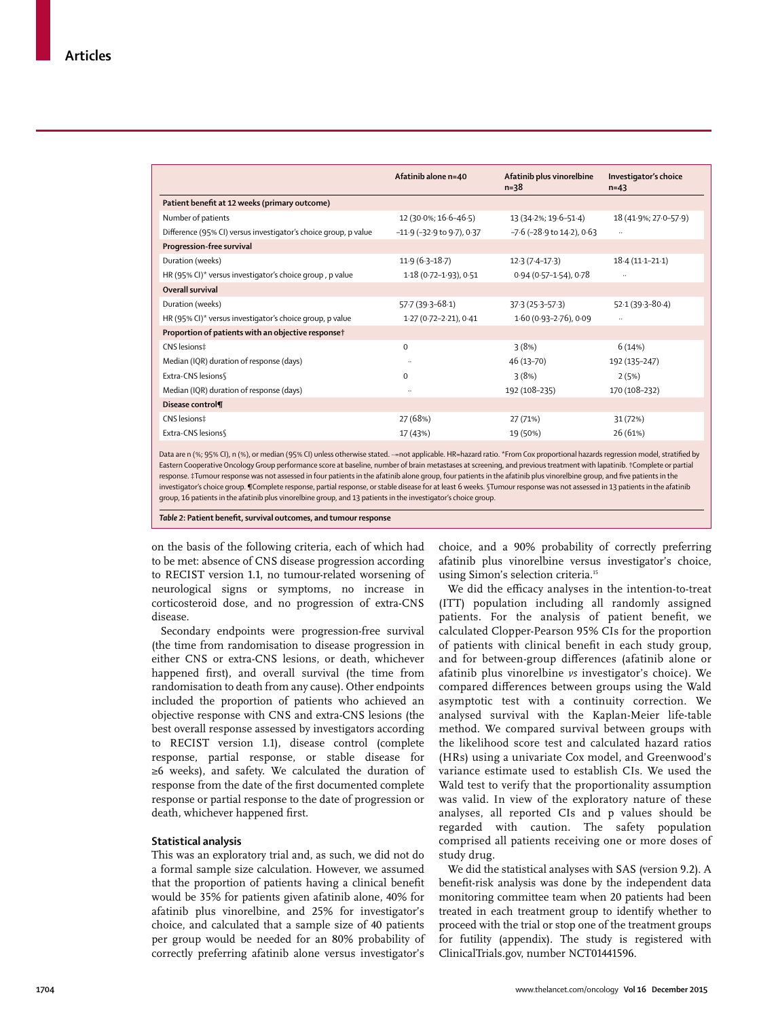|                                                                                                                                                                        | Afatinib alone n=40                | Afatinib plus vinorelbine<br>$n = 38$ | Investigator's choice<br>$n=43$ |
|------------------------------------------------------------------------------------------------------------------------------------------------------------------------|------------------------------------|---------------------------------------|---------------------------------|
| Patient benefit at 12 weeks (primary outcome)                                                                                                                          |                                    |                                       |                                 |
| Number of patients                                                                                                                                                     | 12 (30.0%; 16.6-46.5)              | 13 (34.2%; 19.6-51.4)                 | 18 (41.9%; 27.0-57.9)           |
| Difference (95% CI) versus investigator's choice group, p value                                                                                                        | $-11.9$ ( $-32.9$ to $9.7$ ), 0.37 | $-7.6$ ( $-28.9$ to $14.2$ ), 0.63    | $\ddot{\phantom{a}}$            |
| Progression-free survival                                                                                                                                              |                                    |                                       |                                 |
| Duration (weeks)                                                                                                                                                       | $11.9(6.3-18.7)$                   | $12.3(7.4-17.3)$                      | $18.4(11.1 - 21.1)$             |
| HR (95% CI)* versus investigator's choice group, p value                                                                                                               | 1.18 (0.72-1.93), 0.51             | $0.94(0.57 - 1.54)$ , 0.78            | $\ddotsc$                       |
| Overall survival                                                                                                                                                       |                                    |                                       |                                 |
| Duration (weeks)                                                                                                                                                       | $57.7(39.3-68.1)$                  | $37.3(25.3 - 57.3)$                   | $52.1(39.3 - 80.4)$             |
| HR (95% CI)* versus investigator's choice group, p value                                                                                                               | 1.27 (0.72-2.21), 0.41             | $1.60(0.93 - 2.76)$ , 0.09            | $\ldots$                        |
| Proportion of patients with an objective response†                                                                                                                     |                                    |                                       |                                 |
| CNS lesions‡                                                                                                                                                           | $\Omega$                           | 3(8%)                                 | 6(14%)                          |
| Median (IQR) duration of response (days)                                                                                                                               | $\ldots$                           | 46 (13-70)                            | 192 (135-247)                   |
| Extra-CNS lesions                                                                                                                                                      | $\Omega$                           | 3(8%)                                 | 2(5%)                           |
| Median (IQR) duration of response (days)                                                                                                                               | $\ddotsc$                          | 192 (108-235)                         | 170 (108-232)                   |
| Disease control¶                                                                                                                                                       |                                    |                                       |                                 |
| CNS lesions‡                                                                                                                                                           | 27 (68%)                           | 27 (71%)                              | 31 (72%)                        |
| Extra-CNS lesions§                                                                                                                                                     | 17 (43%)                           | 19 (50%)                              | 26 (61%)                        |
| Data are n (%; Q5% CI) n (%) or median (Q5% CI) unless otherwise stated = not applicable HR=bazard ratio *From Cox proportional bazards regression model stratified by |                                    |                                       |                                 |

Data are n (%; 95% CI), n (%), or median (95% CI) unless otherwise stated. ··=not applicable. HR=hazard ratio. \*From Cox proportional hazards regression model, stratified by Eastern Cooperative Oncology Group performance score at baseline, number of brain metastases at screening, and previous treatment with lapatinib. †Complete or partial response. ‡Tumour response was not assessed in four patients in the afatinib alone group, four patients in the afatinib plus vinorelbine group, and five patients in the investigator's choice group. ¶Complete response, partial response, or stable disease for at least 6 weeks. §Tumour response was not assessed in 13 patients in the afatinib group, 16 patients in the afatinib plus vinorelbine group, and 13 patients in the investigator's choice group.

**Table 2**: Patient benefit, survival outcomes, and tumour response

on the basis of the following criteria, each of which had to be met: absence of CNS disease progression according to RECIST version 1.1, no tumour-related worsening of neurological signs or symptoms, no increase in corticosteroid dose, and no progression of extra-CNS disease.

Secondary endpoints were progression-free survival (the time from randomisation to disease progression in either CNS or extra-CNS lesions, or death, whichever happened first), and overall survival (the time from randomisation to death from any cause). Other endpoints included the proportion of patients who achieved an objective response with CNS and extra-CNS lesions (the best overall response assessed by investigators according to RECIST version 1.1), disease control (complete response, partial response, or stable disease for ≥6 weeks), and safety. We calculated the duration of response from the date of the first documented complete response or partial response to the date of progression or death, whichever happened first.

## **Statistical analysis**

This was an exploratory trial and, as such, we did not do a formal sample size calculation. However, we assumed that the proportion of patients having a clinical benefit would be 35% for patients given afatinib alone, 40% for afatinib plus vinorelbine, and 25% for investigator's choice, and calculated that a sample size of 40 patients per group would be needed for an 80% probability of correctly preferring afatinib alone versus investigator's choice, and a 90% probability of correctly preferring afatinib plus vinorelbine versus investigator's choice, using Simon's selection criteria.<sup>15</sup>

We did the efficacy analyses in the intention-to-treat (ITT) population including all randomly assigned patients. For the analysis of patient benefit, we calculated Clopper-Pearson 95% CIs for the proportion of patients with clinical benefit in each study group, and for between-group differences (afatinib alone or afatinib plus vinorelbine *vs* investigator's choice). We compared differences between groups using the Wald asymptotic test with a continuity correction. We analysed survival with the Kaplan-Meier life-table method. We compared survival between groups with the likelihood score test and calculated hazard ratios (HRs) using a univariate Cox model, and Greenwood's variance estimate used to establish CIs. We used the Wald test to verify that the proportionality assumption was valid. In view of the exploratory nature of these analyses, all reported CIs and p values should be regarded with caution. The safety population comprised all patients receiving one or more doses of study drug.

We did the statistical analyses with SAS (version 9.2). A benefit-risk analysis was done by the independent data monitoring committee team when 20 patients had been treated in each treatment group to identify whether to proceed with the trial or stop one of the treatment groups for futility (appendix). The study is registered with ClinicalTrials.gov, number NCT01441596.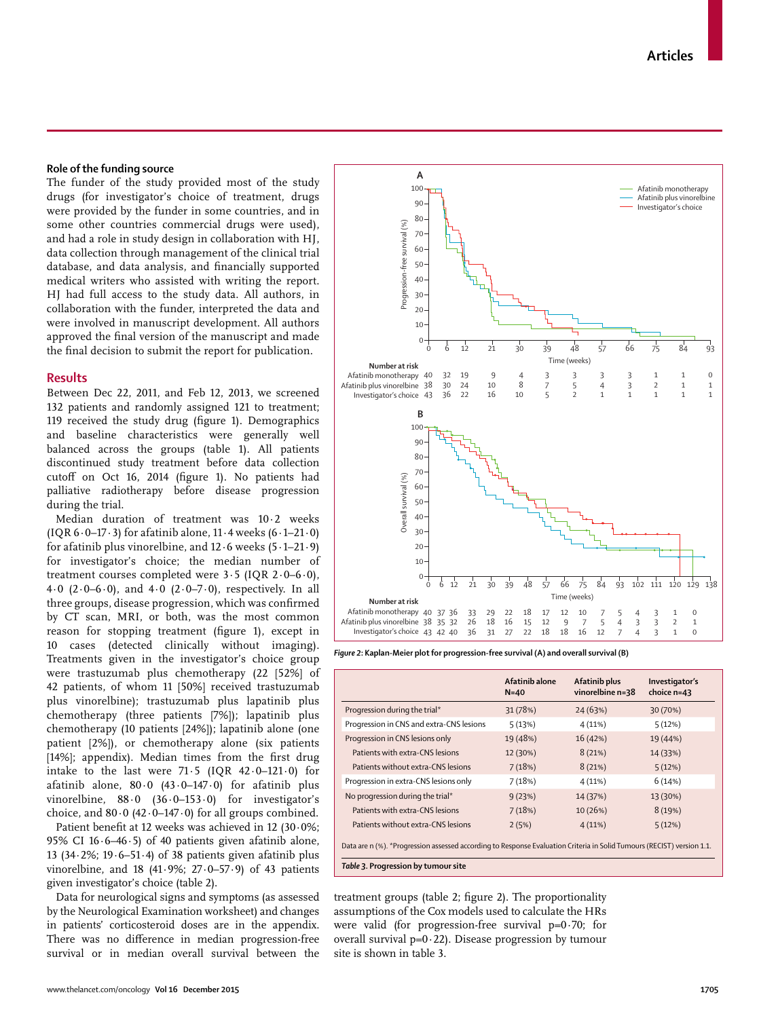## **Role of the funding source**

The funder of the study provided most of the study drugs (for investigator's choice of treatment, drugs were provided by the funder in some countries, and in some other countries commercial drugs were used), and had a role in study design in collaboration with HJ, data collection through management of the clinical trial database, and data analysis, and financially supported medical writers who assisted with writing the report. HJ had full access to the study data. All authors, in collaboration with the funder, interpreted the data and were involved in manuscript development. All authors approved the final version of the manuscript and made the final decision to submit the report for publication.

#### **Results**

Between Dec 22, 2011, and Feb 12, 2013, we screened 132 patients and randomly assigned 121 to treatment; 119 received the study drug (figure 1). Demographics and baseline characteristics were generally well balanced across the groups (table 1). All patients discontinued study treatment before data collection cutoff on Oct 16, 2014 (figure 1). No patients had palliative radiotherapy before disease progression during the trial.

Median duration of treatment was 10·2 weeks (IQR  $6.0-17.3$ ) for afatinib alone,  $11.4$  weeks  $(6.1-21.0)$ for afatinib plus vinorelbine, and  $12.6$  weeks  $(5.1-21.9)$ for investigator's choice; the median number of treatment courses completed were 3·5 (IQR 2·0–6·0), 4.0  $(2.0-6.0)$ , and  $4.0$   $(2.0-7.0)$ , respectively. In all three groups, disease progression, which was confirmed by CT scan, MRI, or both, was the most common reason for stopping treatment (figure 1), except in 10 cases (detected clinically without imaging). Treatments given in the investigator's choice group were trastuzumab plus chemotherapy (22 [52%] of 42 patients, of whom 11 [50%] received trastuzumab plus vinorelbine); trastuzumab plus lapatinib plus chemotherapy (three patients [7%]); lapatinib plus chemotherapy (10 patients [24%]); lapatinib alone (one patient [2%]), or chemotherapy alone (six patients [14%]; appendix). Median times from the first drug intake to the last were  $71.5$  (IQR  $42.0-121.0$ ) for afatinib alone,  $80.0$  (43.0-147.0) for afatinib plus vinorelbine, 88.0 (36.0-153.0) for investigator's choice, and  $80.0$  (42 $\cdot$ 0-147 $\cdot$ 0) for all groups combined.

Patient benefit at 12 weeks was achieved in 12 (30 $\cdot$ 0%; 95% CI 16 $\cdot$ 6-46 $\cdot$ 5) of 40 patients given afatinib alone, 13 (34·2%; 19·6–51·4) of 38 patients given afatinib plus vinorelbine, and 18  $(41.9\%; 27.0-57.9)$  of 43 patients given investigator's choice (table 2).

Data for neurological signs and symptoms (as assessed by the Neurological Examination worksheet) and changes in patients' corticosteroid doses are in the appendix. There was no difference in median progression-free survival or in median overall survival between the



*Figure 2***: Kaplan-Meier plot for progression-free survival (A) and overall survival (B)**

|                                                                                                                                                               | Afatinib alone<br>$N=40$ | Afatinib plus<br>vinorelbine n=38 | Investigator's<br>choice $n=43$ |
|---------------------------------------------------------------------------------------------------------------------------------------------------------------|--------------------------|-----------------------------------|---------------------------------|
| Progression during the trial*                                                                                                                                 | 31 (78%)                 | 24(63%)                           | 30 (70%)                        |
| Progression in CNS and extra-CNS lesions                                                                                                                      | 5(13%)                   | 4(11%)                            | 5(12%)                          |
| Progression in CNS lesions only                                                                                                                               | 19 (48%)                 | 16(42%)                           | 19 (44%)                        |
| Patients with extra-CNS lesions                                                                                                                               | 12 (30%)                 | 8(21%)                            | 14 (33%)                        |
| Patients without extra-CNS lesions                                                                                                                            | 7(18%)                   | 8(21%)                            | 5(12%)                          |
| Progression in extra-CNS lesions only                                                                                                                         | 7(18%)                   | 4(11%)                            | 6(14%)                          |
| No progression during the trial*                                                                                                                              | 9(23%)                   | 14 (37%)                          | 13 (30%)                        |
| Patients with extra-CNS lesions                                                                                                                               | 7(18%)                   | 10 (26%)                          | 8(19%)                          |
| Patients without extra-CNS lesions                                                                                                                            | 2(5%)                    | 4(11%)                            | 5(12%)                          |
| Data are n (%). *Progression assessed according to Response Evaluation Criteria in Solid Tumours (RECIST) version 1.1.<br>Table 3. Progression by tumour site |                          |                                   |                                 |

treatment groups (table 2; figure 2). The proportionality assumptions of the Cox models used to calculate the HRs were valid (for progression-free survival  $p=0.70$ ; for overall survival  $p=0.22$ ). Disease progression by tumour site is shown in table 3.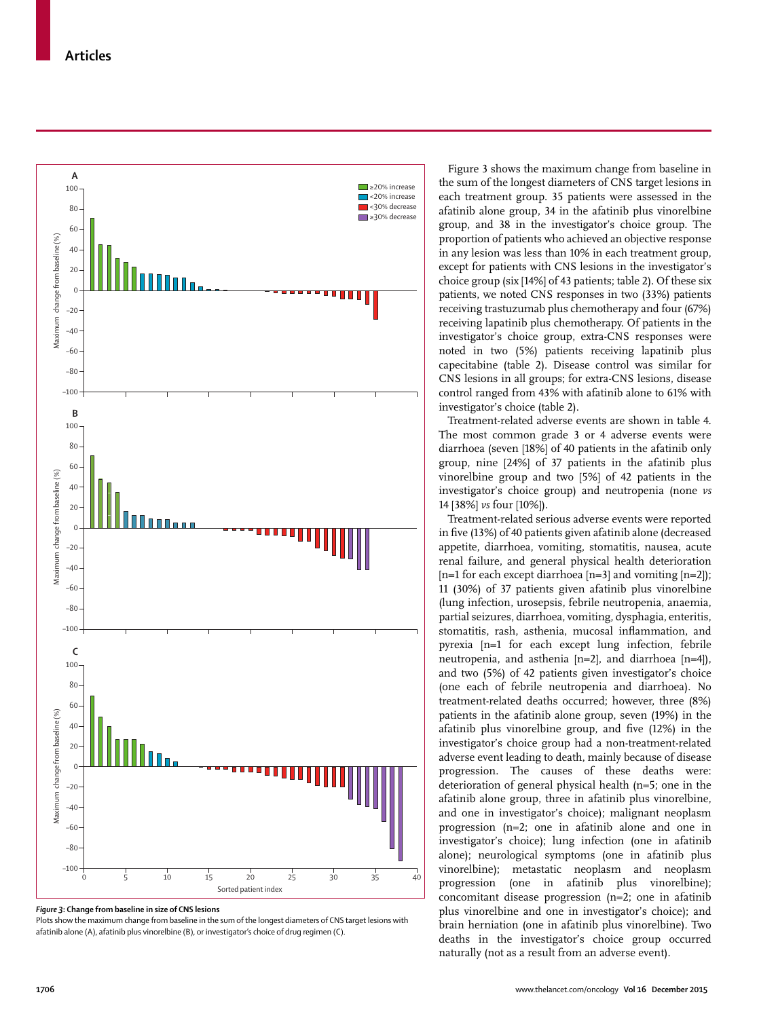

*Figure 3***: Change from baseline in size of CNS lesions**

Plots show the maximum change from baseline in the sum of the longest diameters of CNS target lesions with

Figure 3 shows the maximum change from baseline in the sum of the longest diameters of CNS target lesions in each treatment group. 35 patients were assessed in the afatinib alone group, 34 in the afatinib plus vinorelbine group, and 38 in the investigator's choice group. The proportion of patients who achieved an objective response in any lesion was less than 10% in each treatment group, except for patients with CNS lesions in the investigator's choice group (six [14%] of 43 patients; table 2). Of these six patients, we noted CNS responses in two (33%) patients receiving trastuzumab plus chemotherapy and four (67%) receiving lapatinib plus chemotherapy. Of patients in the investigator's choice group, extra-CNS responses were noted in two (5%) patients receiving lapatinib plus capecitabine (table 2). Disease control was similar for CNS lesions in all groups; for extra-CNS lesions, disease control ranged from 43% with afatinib alone to 61% with investigator's choice (table 2).

Treatment-related adverse events are shown in table 4. The most common grade 3 or 4 adverse events were diarrhoea (seven [18%] of 40 patients in the afatinib only group, nine [24%] of 37 patients in the afatinib plus vinorelbine group and two [5%] of 42 patients in the investigator's choice group) and neutropenia (none *vs* 14 [38%] *vs* four [10%]).

Treatment-related serious adverse events were reported in five (13%) of 40 patients given afatinib alone (decreased appetite, diarrhoea, vomiting, stomatitis, nausea, acute renal failure, and general physical health deterioration [n=1 for each except diarrhoea [n=3] and vomiting [n=2]); 11 (30%) of 37 patients given afatinib plus vinorelbine (lung infection, urosepsis, febrile neutropenia, anaemia, partial seizures, diarrhoea, vomiting, dysphagia, enteritis, stomatitis, rash, asthenia, mucosal inflammation, and pyrexia [n=1 for each except lung infection, febrile neutropenia, and asthenia [n=2], and diarrhoea [n=4]), and two (5%) of 42 patients given investigator's choice (one each of febrile neutropenia and diarrhoea). No treatment-related deaths occurred; however, three (8%) patients in the afatinib alone group, seven (19%) in the afatinib plus vinorelbine group, and five (12%) in the investigator's choice group had a non-treatment-related adverse event leading to death, mainly because of disease progression. The causes of these deaths were: deterioration of general physical health (n=5; one in the afatinib alone group, three in afatinib plus vinorelbine, and one in investigator's choice); malignant neoplasm progression (n=2; one in afatinib alone and one in investigator's choice); lung infection (one in afatinib alone); neurological symptoms (one in afatinib plus vinorelbine); metastatic neoplasm and neoplasm progression (one in afatinib plus vinorelbine); concomitant disease progression (n=2; one in afatinib plus vinorelbine and one in investigator's choice); and brain herniation (one in afatinib plus vinorelbine). Two deaths in the investigator's choice group occurred naturally (not as a result from an adverse event).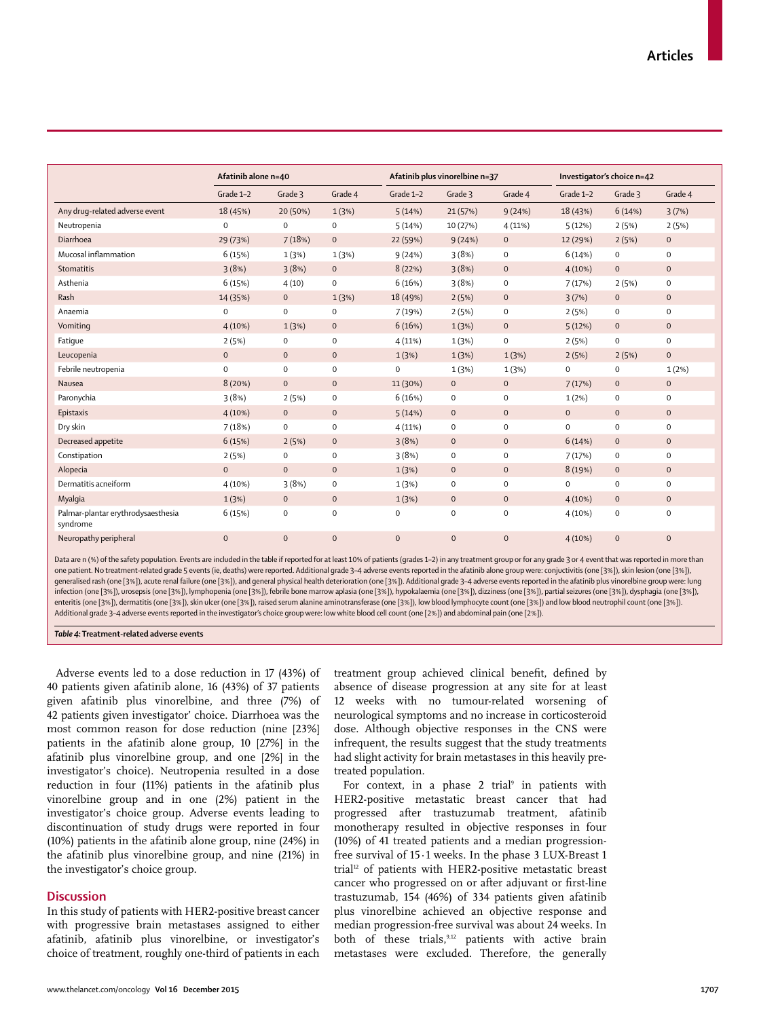|                                                | Afatinib alone n=40 |              | Afatinib plus vinorelbine n=37 |              | Investigator's choice n=42 |              |             |              |              |
|------------------------------------------------|---------------------|--------------|--------------------------------|--------------|----------------------------|--------------|-------------|--------------|--------------|
|                                                | Grade 1-2           | Grade 3      | Grade 4                        | Grade 1-2    | Grade 3                    | Grade 4      | Grade 1-2   | Grade 3      | Grade 4      |
| Any drug-related adverse event                 | 18 (45%)            | 20 (50%)     | 1(3%)                          | 5(14%)       | 21(57%)                    | 9(24%)       | 18 (43%)    | 6(14%)       | 3(7%)        |
| Neutropenia                                    | $\mathbf 0$         | $\mathbf 0$  | $\mathbf 0$                    | 5(14%)       | 10 (27%)                   | 4(11%)       | 5(12%)      | 2(5%)        | 2(5%)        |
| Diarrhoea                                      | 29 (73%)            | 7(18%)       | $\mathbf{0}$                   | 22 (59%)     | 9(24%)                     | $\mathbf{0}$ | 12 (29%)    | 2(5%)        | $\mathbf{0}$ |
| Mucosal inflammation                           | 6(15%)              | 1(3%)        | 1(3%)                          | 9(24%)       | 3(8%)                      | 0            | 6(14%)      | $\mathbf 0$  | $\mathbf 0$  |
| Stomatitis                                     | 3(8%)               | 3(8%)        | $\mathbf{0}$                   | 8(22%)       | 3(8%)                      | $\mathbf 0$  | 4(10%)      | $\mathbf{0}$ | $\mathbf{0}$ |
| Asthenia                                       | 6(15%)              | 4(10)        | $\mathbf 0$                    | 6(16%)       | 3(8%)                      | 0            | 7(17%)      | 2(5%)        | 0            |
| Rash                                           | 14 (35%)            | $\mathbf 0$  | 1(3%)                          | 18 (49%)     | 2(5%)                      | $\mathbf 0$  | 3(7%)       | $\mathbf 0$  | $\mathbf 0$  |
| Anaemia                                        | $\mathbf 0$         | $\mathbf 0$  | $\mathbf 0$                    | 7(19%)       | 2(5%)                      | 0            | 2(5%)       | $\mathbf 0$  | $\mathbf 0$  |
| Vomiting                                       | $4(10\%)$           | 1(3%)        | $\mathbf 0$                    | 6(16%)       | 1(3%)                      | $\mathbf 0$  | 5(12%)      | $\mathbf 0$  | $\mathbf 0$  |
| Fatique                                        | 2(5%)               | 0            | $\mathbf 0$                    | 4(11%)       | 1(3%)                      | 0            | 2(5%)       | 0            | $\mathbf 0$  |
| Leucopenia                                     | $\mathbf 0$         | $\mathbf 0$  | $\mathbf 0$                    | 1(3%)        | 1(3%)                      | 1(3%)        | 2(5%)       | 2(5%)        | $\mathbf{0}$ |
| Febrile neutropenia                            | $\mathsf{O}\xspace$ | $\mathbf 0$  | $\mathbf 0$                    | $\mathbf 0$  | 1(3%)                      | 1(3%)        | $\mathbf 0$ | 0            | 1(2%)        |
| Nausea                                         | 8(20%)              | $\mathbf 0$  | $\mathbf{O}$                   | 11 (30%)     | $\mathbf{0}$               | $\mathbf 0$  | 7(17%)      | $\mathbf{0}$ | $\mathbf{0}$ |
| Paronychia                                     | 3(8%)               | 2(5%)        | $\mathbf 0$                    | 6(16%)       | $\mathbf 0$                | $\mathbf 0$  | 1(2%)       | $\mathbf 0$  | $\mathbf 0$  |
| Epistaxis                                      | 4(10%)              | $\mathbf 0$  | $\mathbf 0$                    | 5(14%)       | $\mathbf 0$                | $\mathbf 0$  | $\mathbf 0$ | $\mathbf 0$  | $\mathbf 0$  |
| Dry skin                                       | 7(18%)              | 0            | $\mathbf 0$                    | 4(11%)       | $\mathbf 0$                | 0            | $\mathbf 0$ | 0            | $\mathbf 0$  |
| Decreased appetite                             | 6(15%)              | 2(5%)        | $\mathbf{0}$                   | 3(8%)        | $\mathbf 0$                | $\mathbf 0$  | 6(14%)      | $\mathbf{0}$ | $\mathbf{0}$ |
| Constipation                                   | 2(5%)               | $\mathbf 0$  | $\mathbf 0$                    | 3(8%)        | $\mathbf 0$                | $\mathbf 0$  | 7(17%)      | 0            | $\mathbf 0$  |
| Alopecia                                       | $\mathbf{0}$        | $\mathbf 0$  | $\mathbf 0$                    | 1(3%)        | $\mathbf 0$                | $\mathbf 0$  | 8 (19%)     | $\mathbf 0$  | $\mathbf 0$  |
| Dermatitis acneiform                           | 4(10%)              | 3(8%)        | $\mathbf 0$                    | 1(3%)        | $\mathbf 0$                | $\mathbf 0$  | $\mathbf 0$ | 0            | $\mathbf 0$  |
| Myalgia                                        | 1(3%)               | $\mathbf 0$  | $\mathbf 0$                    | 1(3%)        | $\mathbf{0}$               | $\mathbf 0$  | 4(10%)      | $\mathbf 0$  | $\mathbf{0}$ |
| Palmar-plantar erythrodysaesthesia<br>syndrome | 6(15%)              | 0            | $\mathbf 0$                    | $\mathbf 0$  | $\mathbf 0$                | $\mathbf 0$  | 4(10%)      | 0            | $\mathbf 0$  |
| Neuropathy peripheral                          | $\mathbf{0}$        | $\mathbf{0}$ | $\mathbf{0}$                   | $\mathbf{0}$ | $\mathbf{0}$               | $\mathbf{0}$ | 4(10%)      | $\mathbf{0}$ | $\mathbf{0}$ |

Data are n (%) of the safety population. Events are included in the table if reported for at least 10% of patients (grades 1–2) in any treatment group or for any grade 3 or 4 event that was reported in more than one patient. No treatment-related grade 5 events (ie, deaths) were reported. Additional grade 3–4 adverse events reported in the afatinib alone group were: conjuctivitis (one [3%]), skin lesion (one [3%]), generalised rash (one [3%]), acute renal failure (one [3%]), and general physical health deterioration (one [3%]). Additional grade 3–4 adverse events reported in the afatinib plus vinorelbine group were: lung infection (one [3%]), urosepsis (one [3%]), lymphopenia (one [3%]), febrile bone marrow aplasia (one [3%]), hypokalaemia (one [3%]), dizziness (one [3%]), partial seizures (one [3%]), dysphagia (one [3%]), enteritis (one [3%]), dermatitis (one [3%]), skin ulcer (one [3%]), raised serum alanine aminotransferase (one [3%]), low blood lymphocyte count (one [3%]) and low blood neutrophil count (one [3%]). Additional grade 3–4 adverse events reported in the investigator's choice group were: low white blood cell count (one [2%]) and abdominal pain (one [2%]).

*Table 4***: Treatment-related adverse events**

Adverse events led to a dose reduction in 17 (43%) of 40 patients given afatinib alone, 16 (43%) of 37 patients given afatinib plus vinorelbine, and three (7%) of 42 patients given investigator' choice. Diarrhoea was the most common reason for dose reduction (nine [23%] patients in the afatinib alone group, 10 [27%] in the afatinib plus vinorelbine group, and one [2%] in the investigator's choice). Neutropenia resulted in a dose reduction in four (11%) patients in the afatinib plus vinorelbine group and in one (2%) patient in the investigator's choice group. Adverse events leading to discontinuation of study drugs were reported in four (10%) patients in the afatinib alone group, nine (24%) in the afatinib plus vinorelbine group, and nine (21%) in the investigator's choice group.

# **Discussion**

In this study of patients with HER2-positive breast cancer with progressive brain metastases assigned to either afatinib, afatinib plus vinorelbine, or investigator's choice of treatment, roughly one-third of patients in each treatment group achieved clinical benefit, defined by absence of disease progression at any site for at least 12 weeks with no tumour-related worsening of neurological symptoms and no increase in corticosteroid dose. Although objective responses in the CNS were infrequent, the results suggest that the study treatments had slight activity for brain metastases in this heavily pretreated population.

For context, in a phase  $2$  trial<sup>9</sup> in patients with HER2-positive metastatic breast cancer that had progressed after trastuzumab treatment, afatinib monotherapy resulted in objective responses in four (10%) of 41 treated patients and a median progressionfree survival of 15·1 weeks. In the phase 3 LUX-Breast 1 trial<sup>12</sup> of patients with HER2-positive metastatic breast cancer who progressed on or after adjuvant or first-line trastuzumab, 154 (46%) of 334 patients given afatinib plus vinorelbine achieved an objective response and median progression-free survival was about 24 weeks. In both of these trials,<sup>9,12</sup> patients with active brain metastases were excluded. Therefore, the generally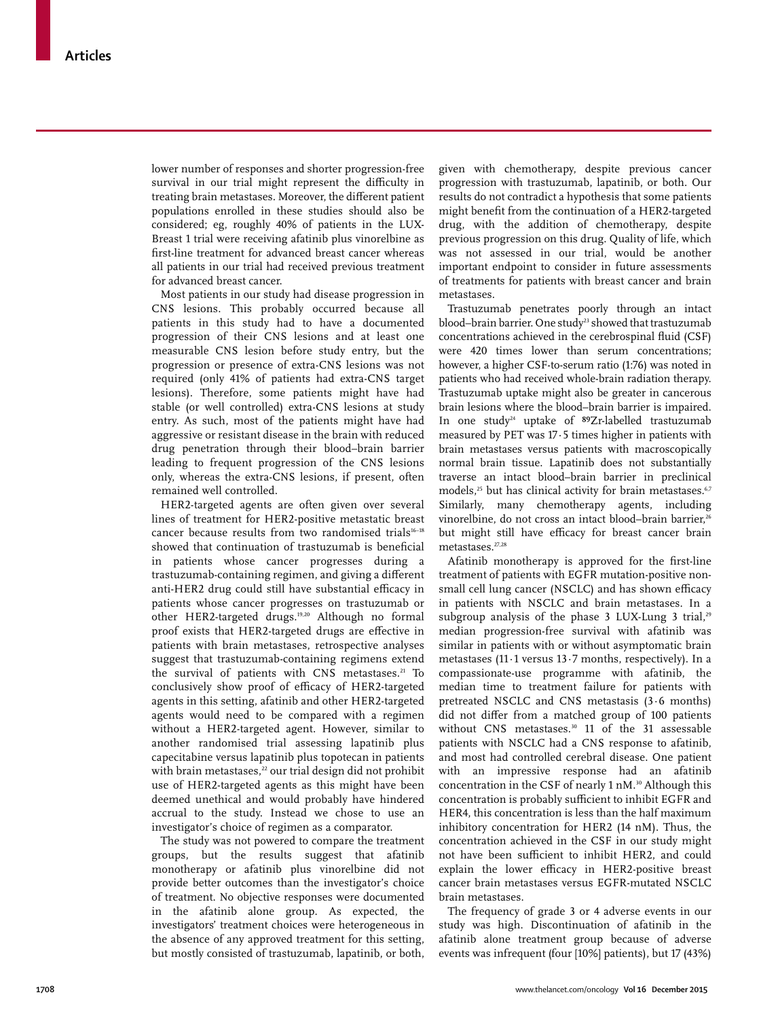lower number of responses and shorter progression-free survival in our trial might represent the difficulty in treating brain metastases. Moreover, the different patient populations enrolled in these studies should also be considered; eg, roughly 40% of patients in the LUX-Breast 1 trial were receiving afatinib plus vinorelbine as first-line treatment for advanced breast cancer whereas all patients in our trial had received previous treatment for advanced breast cancer.

Most patients in our study had disease progression in CNS lesions. This probably occurred because all patients in this study had to have a documented progression of their CNS lesions and at least one measurable CNS lesion before study entry, but the progression or presence of extra-CNS lesions was not required (only 41% of patients had extra-CNS target lesions). Therefore, some patients might have had stable (or well controlled) extra-CNS lesions at study entry. As such, most of the patients might have had aggressive or resistant disease in the brain with reduced drug penetration through their blood–brain barrier leading to frequent progression of the CNS lesions only, whereas the extra-CNS lesions, if present, often remained well controlled.

HER2-targeted agents are often given over several lines of treatment for HER2-positive metastatic breast cancer because results from two randomised trials<sup>16-18</sup> showed that continuation of trastuzumab is beneficial in patients whose cancer progresses during a trastuzumab-containing regimen, and giving a different anti-HER2 drug could still have substantial efficacy in patients whose cancer progresses on trastuzumab or other HER2-targeted drugs.19,20 Although no formal proof exists that HER2-targeted drugs are effective in patients with brain metastases, retrospective analyses suggest that trastuzumab-containing regimens extend the survival of patients with CNS metastases.<sup>21</sup> To conclusively show proof of efficacy of HER2-targeted agents in this setting, afatinib and other HER2-targeted agents would need to be compared with a regimen without a HER2-targeted agent. However, similar to another randomised trial assessing lapatinib plus capecitabine versus lapatinib plus topotecan in patients with brain metastases, $22$  our trial design did not prohibit use of HER2-targeted agents as this might have been deemed unethical and would probably have hindered accrual to the study. Instead we chose to use an investigator's choice of regimen as a comparator.

The study was not powered to compare the treatment groups, but the results suggest that afatinib monotherapy or afatinib plus vinorelbine did not provide better outcomes than the investigator's choice of treatment. No objective responses were documented in the afatinib alone group. As expected, the investigators' treatment choices were heterogeneous in the absence of any approved treatment for this setting, but mostly consisted of trastuzumab, lapatinib, or both,

given with chemotherapy, despite previous cancer progression with trastuzumab, lapatinib, or both. Our results do not contradict a hypothesis that some patients might benefit from the continuation of a HER2-targeted drug, with the addition of chemotherapy, despite previous progression on this drug. Quality of life, which was not assessed in our trial, would be another important endpoint to consider in future assessments of treatments for patients with breast cancer and brain metastases.

Trastuzumab penetrates poorly through an intact blood–brain barrier. One study<sup>23</sup> showed that trastuzumab concentrations achieved in the cerebrospinal fluid (CSF) were 420 times lower than serum concentrations; however, a higher CSF-to-serum ratio (1:76) was noted in patients who had received whole-brain radiation therapy. Trastuzumab uptake might also be greater in cancerous brain lesions where the blood–brain barrier is impaired. In one study<sup>24</sup> uptake of  $89Zr$ -labelled trastuzumab measured by PET was 17·5 times higher in patients with brain metastases versus patients with macroscopically normal brain tissue. Lapatinib does not substantially traverse an intact blood–brain barrier in preclinical models,<sup>25</sup> but has clinical activity for brain metastases.<sup>6,7</sup> Similarly, many chemotherapy agents, including vinorelbine, do not cross an intact blood–brain barrier,<sup>26</sup> but might still have efficacy for breast cancer brain metastases.27,28

Afatinib monotherapy is approved for the first-line treatment of patients with EGFR mutation-positive nonsmall cell lung cancer (NSCLC) and has shown efficacy in patients with NSCLC and brain metastases. In a subgroup analysis of the phase 3 LUX-Lung 3 trial,<sup>29</sup> median progression-free survival with afatinib was similar in patients with or without asymptomatic brain metastases (11 $\cdot$ 1 versus 13 $\cdot$ 7 months, respectively). In a compassionate-use programme with afatinib, the median time to treatment failure for patients with pretreated NSCLC and CNS metastasis (3·6 months) did not differ from a matched group of 100 patients without CNS metastases.<sup>30</sup> 11 of the 31 assessable patients with NSCLC had a CNS response to afatinib, and most had controlled cerebral disease. One patient with an impressive response had an afatinib concentration in the CSF of nearly 1 nM.30 Although this concentration is probably sufficient to inhibit EGFR and HER4, this concentration is less than the half maximum inhibitory concentration for HER2 (14 nM). Thus, the concentration achieved in the CSF in our study might not have been sufficient to inhibit HER2, and could explain the lower efficacy in HER2-positive breast cancer brain metastases versus EGFR-mutated NSCLC brain metastases.

The frequency of grade 3 or 4 adverse events in our study was high. Discontinuation of afatinib in the afatinib alone treatment group because of adverse events was infrequent (four [10%] patients), but 17 (43%)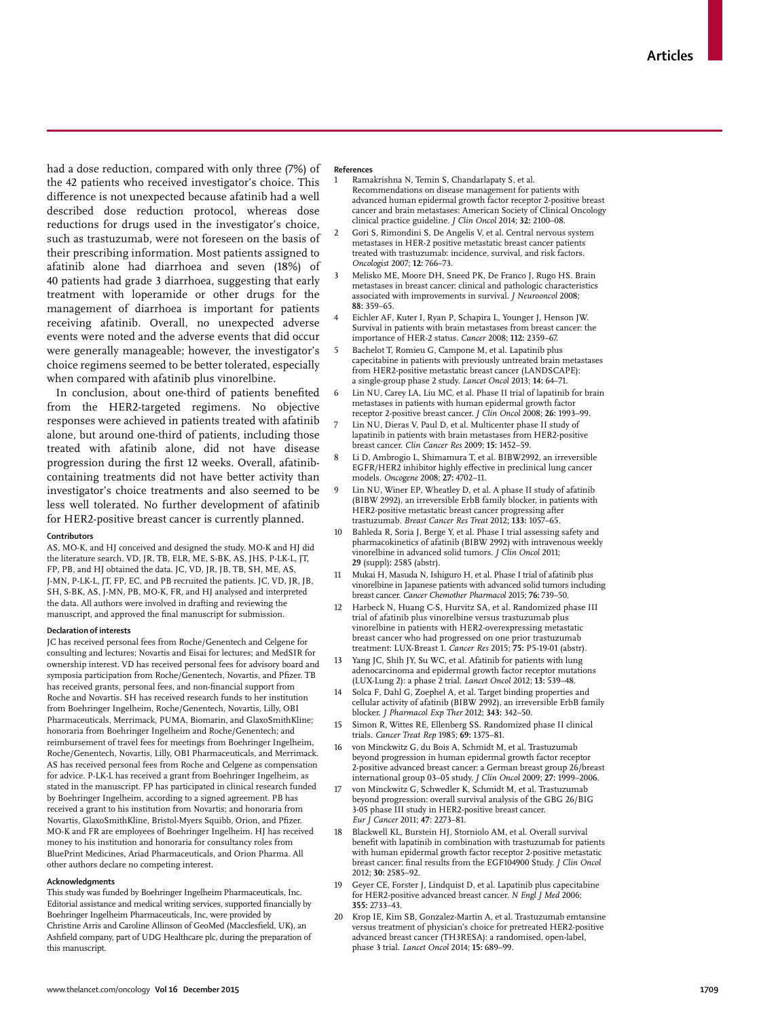had a dose reduction, compared with only three (7%) of the 42 patients who received investigator's choice. This difference is not unexpected because afatinib had a well described dose reduction protocol, whereas dose reductions for drugs used in the investigator's choice, such as trastuzumab, were not foreseen on the basis of their prescribing information. Most patients assigned to afatinib alone had diarrhoea and seven (18%) of 40 patients had grade 3 diarrhoea, suggesting that early treatment with loperamide or other drugs for the management of diarrhoea is important for patients receiving afatinib. Overall, no unexpected adverse events were noted and the adverse events that did occur were generally manageable; however, the investigator's choice regimens seemed to be better tolerated, especially when compared with afatinib plus vinorelbine.

In conclusion, about one-third of patients benefited from the HER2-targeted regimens. No objective responses were achieved in patients treated with afatinib alone, but around one-third of patients, including those treated with afatinib alone, did not have disease progression during the first 12 weeks. Overall, afatinibcontaining treatments did not have better activity than investigator's choice treatments and also seemed to be less well tolerated. No further development of afatinib for HER2-positive breast cancer is currently planned.

#### **Contributors**

AS, MO-K, and HJ conceived and designed the study. MO-K and HJ did the literature search. VD, JR, TB, ELR, ME, S-BK, AS, JHS, P-LK-L, JT, FP, PB, and HJ obtained the data. JC, VD, JR, JB, TB, SH, ME, AS, J-MN, P-LK-L, JT, FP, EC, and PB recruited the patients. JC, VD, JR, JB, SH, S-BK, AS, J-MN, PB, MO-K, FR, and HJ analysed and interpreted the data. All authors were involved in drafting and reviewing the manuscript, and approved the final manuscript for submission.

#### **Declaration of interests**

JC has received personal fees from Roche/Genentech and Celgene for consulting and lectures; Novartis and Eisai for lectures; and MedSIR for ownership interest. VD has received personal fees for advisory board and symposia participation from Roche/Genentech, Novartis, and Pfizer. TB has received grants, personal fees, and non-financial support from Roche and Novartis. SH has received research funds to her institution from Boehringer Ingelheim, Roche/Genentech, Novartis, Lilly, OBI Pharmaceuticals, Merrimack, PUMA, Biomarin, and GlaxoSmithKline; honoraria from Boehringer Ingelheim and Roche/Genentech; and reimbursement of travel fees for meetings from Boehringer Ingelheim, Roche/Genentech, Novartis, Lilly, OBI Pharmaceuticals, and Merrimack. AS has received personal fees from Roche and Celgene as compensation for advice. P-LK-L has received a grant from Boehringer Ingelheim, as stated in the manuscript. FP has participated in clinical research funded by Boehringer Ingelheim, according to a signed agreement. PB has received a grant to his institution from Novartis; and honoraria from Novartis, GlaxoSmithKline, Bristol-Myers Squibb, Orion, and Pfizer. MO-K and FR are employees of Boehringer Ingelheim. HJ has received money to his institution and honoraria for consultancy roles from BluePrint Medicines, Ariad Pharmaceuticals, and Orion Pharma. All other authors declare no competing interest.

#### **Acknowledgments**

This study was funded by Boehringer Ingelheim Pharmaceuticals, Inc. Editorial assistance and medical writing services, supported financially by Boehringer Ingelheim Pharmaceuticals, Inc, were provided by Christine Arris and Caroline Allinson of GeoMed (Macclesfield, UK), an Ashfield company, part of UDG Healthcare plc, during the preparation of this manuscript.

#### **References**

- Ramakrishna N, Temin S, Chandarlapaty S, et al. Recommendations on disease management for patients with advanced human epidermal growth factor receptor 2-positive breast cancer and brain metastases: American Society of Clinical Oncology clinical practice guideline. *J Clin Oncol* 2014; **32:** 2100–08.
- 2 Gori S, Rimondini S, De Angelis V, et al. Central nervous system metastases in HER-2 positive metastatic breast cancer patients treated with trastuzumab: incidence, survival, and risk factors. *Oncologist* 2007; **12:** 766–73.
- 3 Melisko ME, Moore DH, Sneed PK, De Franco J, Rugo HS. Brain metastases in breast cancer: clinical and pathologic characteristics associated with improvements in survival. *J Neurooncol* 2008; **88:** 359–65.
- 4 Eichler AF, Kuter I, Ryan P, Schapira L, Younger J, Henson JW. Survival in patients with brain metastases from breast cancer: the importance of HER-2 status. *Cancer* 2008; **112:** 2359–67.
- 5 Bachelot T, Romieu G, Campone M, et al. Lapatinib plus capecitabine in patients with previously untreated brain metastases from HER2-positive metastatic breast cancer (LANDSCAPE): a single-group phase 2 study. *Lancet Oncol* 2013; **14:** 64–71.
- 6 Lin NU, Carey LA, Liu MC, et al. Phase II trial of lapatinib for brain metastases in patients with human epidermal growth factor receptor 2-positive breast cancer. *J Clin Oncol* 2008; **26:** 1993–99.
- Lin NU, Dieras V, Paul D, et al. Multicenter phase II study of lapatinib in patients with brain metastases from HER2-positive breast cancer. *Clin Cancer Res* 2009; **15:** 1452–59.
- 8 Li D, Ambrogio L, Shimamura T, et al. BIBW2992, an irreversible EGFR/HER2 inhibitor highly effective in preclinical lung cancer models. *Oncogene* 2008; **27:** 4702–11.
- Lin NU, Winer EP, Wheatley D, et al. A phase II study of afatinib (BIBW 2992), an irreversible ErbB family blocker, in patients with HER2-positive metastatic breast cancer progressing after trastuzumab. *Breast Cancer Res Treat* 2012; **133:** 1057–65.
- Bahleda R, Soria J, Berge Y, et al. Phase I trial assessing safety and pharmacokinetics of afatinib (BIBW 2992) with intravenous weekly vinorelbine in advanced solid tumors. *J Clin Oncol* 2011; **29** (suppl)**:** 2585 (abstr).
- Mukai H, Masuda N, Ishiguro H, et al. Phase I trial of afatinib plus vinorelbine in Japanese patients with advanced solid tumors including breast cancer. *Cancer Chemother Pharmacol* 2015; **76:** 739–50.
- 12 Harbeck N, Huang C-S, Hurvitz SA, et al. Randomized phase III trial of afatinib plus vinorelbine versus trastuzumab plus vinorelbine in patients with HER2-overexpressing metastatic breast cancer who had progressed on one prior trastuzumab treatment: LUX-Breast 1. *Cancer Res* 2015; **75:** P5-19-01 (abstr).
- 13 Yang JC, Shih JY, Su WC, et al. Afatinib for patients with lung adenocarcinoma and epidermal growth factor receptor mutations (LUX-Lung 2): a phase 2 trial. *Lancet Oncol* 2012; **13:** 539–48.
- Solca F, Dahl G, Zoephel A, et al. Target binding properties and cellular activity of afatinib (BIBW 2992), an irreversible ErbB family blocker. *J Pharmacol Exp Ther* 2012; **343:** 342–50.
- 15 Simon R, Wittes RE, Ellenberg SS. Randomized phase II clinical trials. *Cancer Treat Rep* 1985; **69:** 1375–81.
- von Minckwitz G, du Bois A, Schmidt M, et al. Trastuzumab beyond progression in human epidermal growth factor receptor 2-positive advanced breast cancer: a German breast group 26/breast international group 03–05 study. *J Clin Oncol* 2009; **27:** 1999–2006.
- 17 von Minckwitz G, Schwedler K, Schmidt M, et al. Trastuzumab beyond progression: overall survival analysis of the GBG 26/BIG 3-05 phase III study in HER2-positive breast cancer. *Eur J Cancer* 2011; **47**: 2273–81.
- 18 Blackwell KL, Burstein HJ, Storniolo AM, et al. Overall survival benefit with lapatinib in combination with trastuzumab for patients with human epidermal growth factor receptor 2-positive metastatic breast cancer: final results from the EGF104900 Study. *J Clin Oncol* 2012; **30:** 2585–92.
- 19 Geyer CE, Forster J, Lindquist D, et al. Lapatinib plus capecitabine for HER2-positive advanced breast cancer. *N Engl J Med* 2006; **355:** 2733–43.
- 20 Krop IE, Kim SB, Gonzalez-Martin A, et al. Trastuzumab emtansine versus treatment of physician's choice for pretreated HER2-positive advanced breast cancer (TH3RESA): a randomised, open-label, phase 3 trial. *Lancet Oncol* 2014; **15:** 689–99.